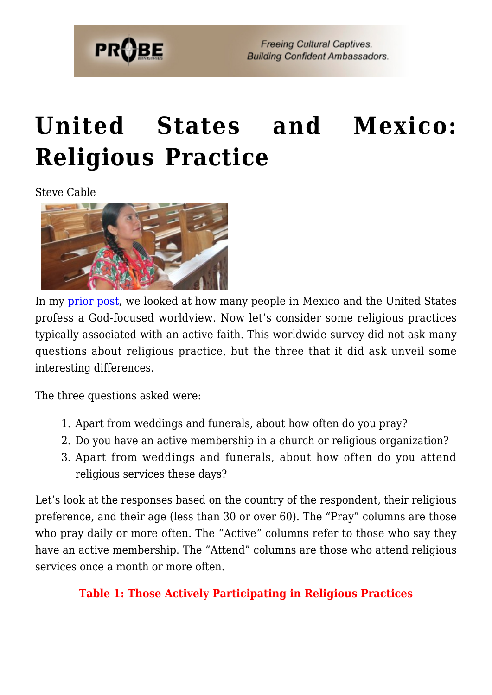

## **[United States and Mexico:](https://probe.org/united-states-and-mexico-religious-practice/) [Religious Practice](https://probe.org/united-states-and-mexico-religious-practice/)**

Steve Cable



In my [prior post](https://www.probe.org/u-s-and-mexico-biblical-worldview-lite-or-god-focused-worldview/), we looked at how many people in Mexico and the United States profess a God-focused worldview. Now let's consider some religious practices typically associated with an active faith. This worldwide survey did not ask many questions about religious practice, but the three that it did ask unveil some interesting differences.

The three questions asked were:

- 1. Apart from weddings and funerals, about how often do you pray?
- 2. Do you have an active membership in a church or religious organization?
- 3. Apart from weddings and funerals, about how often do you attend religious services these days?

Let's look at the responses based on the country of the respondent, their religious preference, and their age (less than 30 or over 60). The "Pray" columns are those who pray daily or more often. The "Active" columns refer to those who say they have an active membership. The "Attend" columns are those who attend religious services once a month or more often.

#### **Table 1: Those Actively Participating in Religious Practices**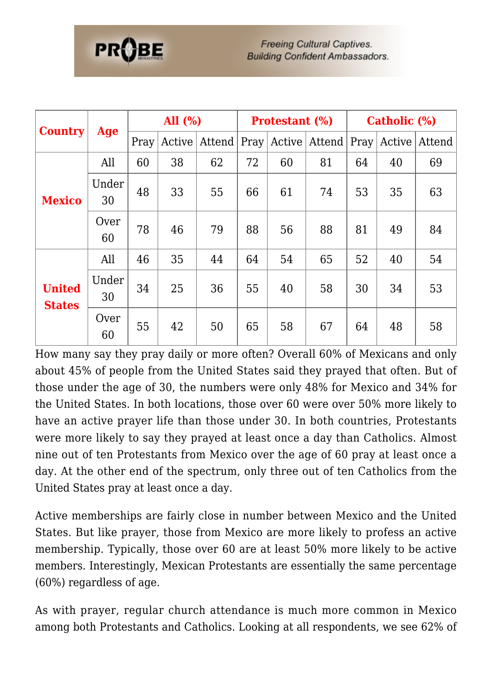| <b>Country</b>                 |             | All $(\% )$ |        | <b>Protestant (%)</b> |      |        | Catholic (%) |      |        |        |
|--------------------------------|-------------|-------------|--------|-----------------------|------|--------|--------------|------|--------|--------|
|                                | Age         | Pray        | Active | Attend                | Pray | Active | Attend       | Pray | Active | Attend |
| <b>Mexico</b>                  | All         | 60          | 38     | 62                    | 72   | 60     | 81           | 64   | 40     | 69     |
|                                | Under<br>30 | 48          | 33     | 55                    | 66   | 61     | 74           | 53   | 35     | 63     |
|                                | Over<br>60  | 78          | 46     | 79                    | 88   | 56     | 88           | 81   | 49     | 84     |
| <b>United</b><br><b>States</b> | All         | 46          | 35     | 44                    | 64   | 54     | 65           | 52   | 40     | 54     |
|                                | Under<br>30 | 34          | 25     | 36                    | 55   | 40     | 58           | 30   | 34     | 53     |
|                                | Over<br>60  | 55          | 42     | 50                    | 65   | 58     | 67           | 64   | 48     | 58     |

How many say they pray daily or more often? Overall 60% of Mexicans and only about 45% of people from the United States said they prayed that often. But of those under the age of 30, the numbers were only 48% for Mexico and 34% for the United States. In both locations, those over 60 were over 50% more likely to have an active prayer life than those under 30. In both countries, Protestants were more likely to say they prayed at least once a day than Catholics. Almost nine out of ten Protestants from Mexico over the age of 60 pray at least once a day. At the other end of the spectrum, only three out of ten Catholics from the United States pray at least once a day.

Active memberships are fairly close in number between Mexico and the United States. But like prayer, those from Mexico are more likely to profess an active membership. Typically, those over 60 are at least 50% more likely to be active members. Interestingly, Mexican Protestants are essentially the same percentage (60%) regardless of age.

As with prayer, regular church attendance is much more common in Mexico among both Protestants and Catholics. Looking at all respondents, we see 62% of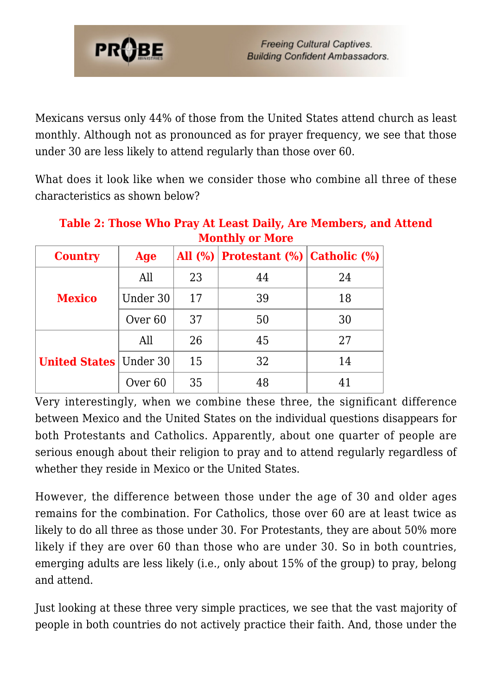

Mexicans versus only 44% of those from the United States attend church as least monthly. Although not as pronounced as for prayer frequency, we see that those under 30 are less likely to attend regularly than those over 60.

What does it look like when we consider those who combine all three of these characteristics as shown below?

| Table 2: Those Who Pray At Least Daily, Are Members, and Attend |
|-----------------------------------------------------------------|
| <b>Monthly or More</b>                                          |

| <b>Country</b>                  | Age                |    | All $(\%)$ Protestant $(\%)$ Catholic $(\%)$ |    |
|---------------------------------|--------------------|----|----------------------------------------------|----|
| <b>Mexico</b>                   | All                | 23 | 44                                           | 24 |
|                                 | Under 30           | 17 | 39                                           | 18 |
|                                 | Over <sub>60</sub> | 37 | 50                                           | 30 |
| <b>United States   Under 30</b> | All                | 26 | 45                                           | 27 |
|                                 | 15                 |    | 32                                           | 14 |
|                                 | Over <sub>60</sub> | 35 | 48                                           | 41 |

Very interestingly, when we combine these three, the significant difference between Mexico and the United States on the individual questions disappears for both Protestants and Catholics. Apparently, about one quarter of people are serious enough about their religion to pray and to attend regularly regardless of whether they reside in Mexico or the United States.

However, the difference between those under the age of 30 and older ages remains for the combination. For Catholics, those over 60 are at least twice as likely to do all three as those under 30. For Protestants, they are about 50% more likely if they are over 60 than those who are under 30. So in both countries, emerging adults are less likely (i.e., only about 15% of the group) to pray, belong and attend.

Just looking at these three very simple practices, we see that the vast majority of people in both countries do not actively practice their faith. And, those under the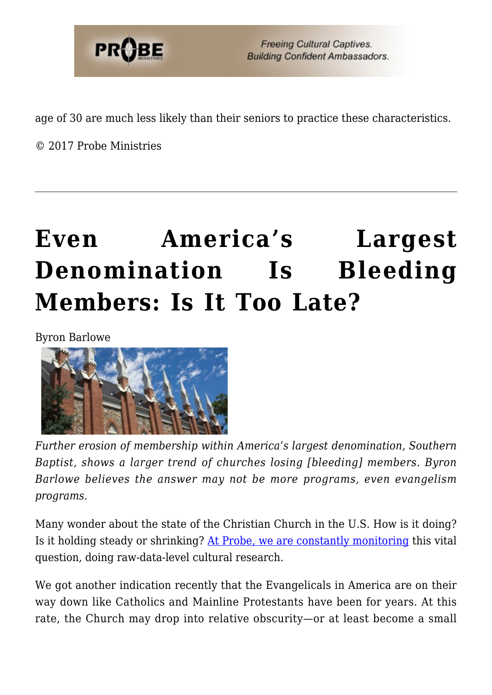

age of 30 are much less likely than their seniors to practice these characteristics.

© 2017 Probe Ministries

# **[Even America's Largest](https://probe.org/even-americas-largest-denomination-is-bleeding-members-is-it-too-late/) [Denomination Is Bleeding](https://probe.org/even-americas-largest-denomination-is-bleeding-members-is-it-too-late/) [Members: Is It Too Late?](https://probe.org/even-americas-largest-denomination-is-bleeding-members-is-it-too-late/)**

Byron Barlowe



*Further erosion of membership within America's largest denomination, Southern Baptist, shows a larger trend of churches losing [bleeding] members. Byron Barlowe believes the answer may not be more programs, even evangelism programs.*

Many wonder about the state of the Christian Church in the U.S. How is it doing? Is it holding steady or shrinking? [At Probe, we are constantly monitoring](https://probe.org/cultural-research) this vital question, doing raw-data-level cultural research.

We got another indication recently that the Evangelicals in America are on their way down like Catholics and Mainline Protestants have been for years. At this rate, the Church may drop into relative obscurity—or at least become a small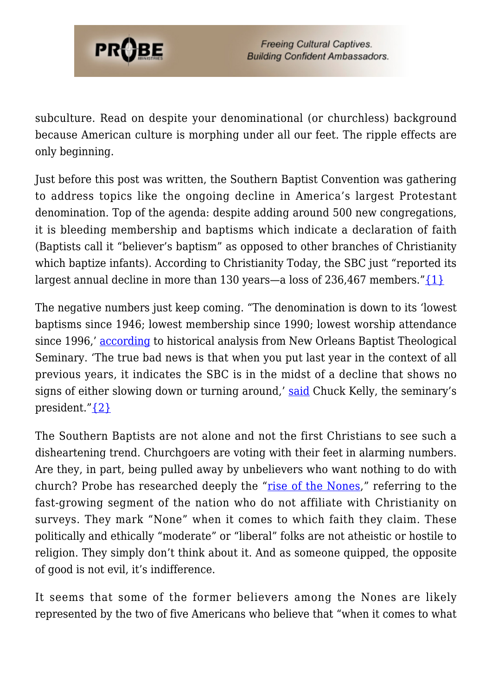

subculture. Read on despite your denominational (or churchless) background because American culture is morphing under all our feet. The ripple effects are only beginning.

Just before this post was written, the Southern Baptist Convention was gathering to address topics like the ongoing decline in America's largest Protestant denomination. Top of the agenda: despite adding around 500 new congregations, it is bleeding membership and baptisms which indicate a declaration of faith (Baptists call it "believer's baptism" as opposed to other branches of Christianity which baptize infants). According to Christianity Today, the SBC just "reported its largest annual decline in more than 130 years—a loss of 236,467 members." $\{1\}$ 

The negative numbers just keep coming. "The denomination is down to its 'lowest baptisms since 1946; lowest membership since 1990; lowest worship attendance since 1996,' [according](https://twitter.com/nobtspres/status/872568951234076675) to historical analysis from New Orleans Baptist Theological Seminary. 'The true bad news is that when you put last year in the context of all previous years, it indicates the SBC is in the midst of a decline that shows no signs of either slowing down or turning around,' [said](http://www.drchuckkelley.com/2017/06/08/sbc-state/) Chuck Kelly, the seminary's president.["{2}](#page-40-1)

The Southern Baptists are not alone and not the first Christians to see such a disheartening trend. Churchgoers are voting with their feet in alarming numbers. Are they, in part, being pulled away by unbelievers who want nothing to do with church? Probe has researched deeply the "[rise of the Nones](https://probe.org/the-rise-of-the-nones-reaching-the-lost-in-todays-america/)," referring to the fast-growing segment of the nation who do not affiliate with Christianity on surveys. They mark "None" when it comes to which faith they claim. These politically and ethically "moderate" or "liberal" folks are not atheistic or hostile to religion. They simply don't think about it. And as someone quipped, the opposite of good is not evil, it's indifference.

It seems that some of the former believers among the Nones are likely represented by the two of five Americans who believe that "when it comes to what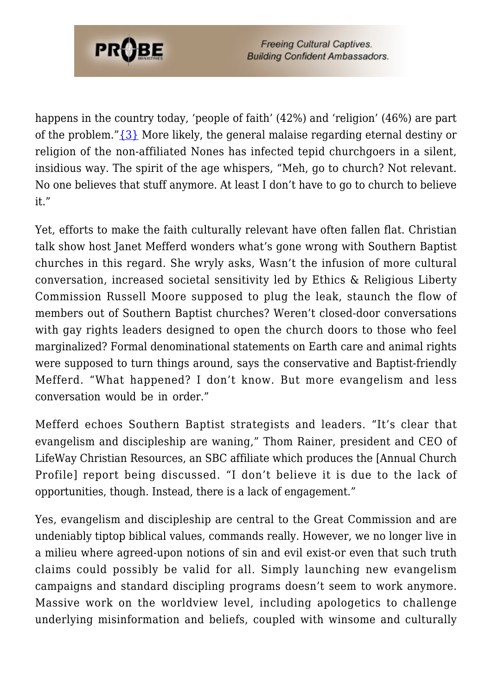

happens in the country today, 'people of faith' (42%) and 'religion' (46%) are part of the problem." $\{3\}$  More likely, the general malaise regarding eternal destiny or religion of the non-affiliated Nones has infected tepid churchgoers in a silent, insidious way. The spirit of the age whispers, "Meh, go to church? Not relevant. No one believes that stuff anymore. At least I don't have to go to church to believe it."

Yet, efforts to make the faith culturally relevant have often fallen flat. Christian talk show host Janet Mefferd wonders what's gone wrong with Southern Baptist churches in this regard. She wryly asks, Wasn't the infusion of more cultural conversation, increased societal sensitivity led by Ethics & Religious Liberty Commission Russell Moore supposed to plug the leak, staunch the flow of members out of Southern Baptist churches? Weren't closed-door conversations with gay rights leaders designed to open the church doors to those who feel marginalized? Formal denominational statements on Earth care and animal rights were supposed to turn things around, says the conservative and Baptist-friendly Mefferd. "What happened? I don't know. But more evangelism and less conversation would be in order."

Mefferd echoes Southern Baptist strategists and leaders. "It's clear that evangelism and discipleship are waning," Thom Rainer, president and CEO of LifeWay Christian Resources, an SBC affiliate which produces the [Annual Church Profile] report being discussed. "I don't believe it is due to the lack of opportunities, though. Instead, there is a lack of engagement."

Yes, evangelism and discipleship are central to the Great Commission and are undeniably tiptop biblical values, commands really. However, we no longer live in a milieu where agreed-upon notions of sin and evil exist-or even that such truth claims could possibly be valid for all. Simply launching new evangelism campaigns and standard discipling programs doesn't seem to work anymore. Massive work on the worldview level, including apologetics to challenge underlying misinformation and beliefs, coupled with winsome and culturally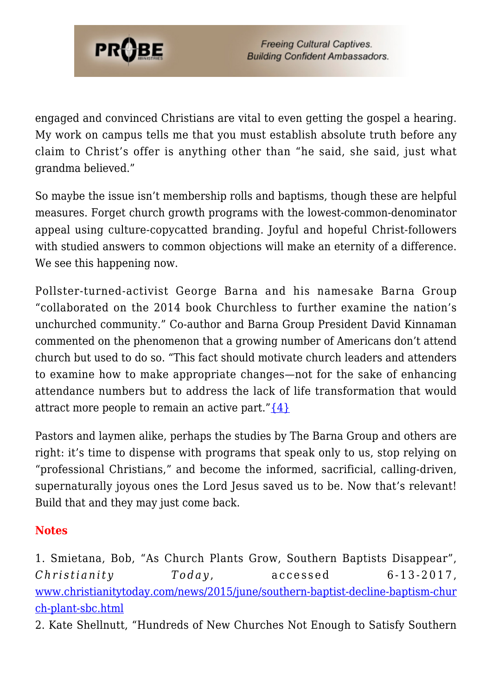

engaged and convinced Christians are vital to even getting the gospel a hearing. My work on campus tells me that you must establish absolute truth before any claim to Christ's offer is anything other than "he said, she said, just what grandma believed."

So maybe the issue isn't membership rolls and baptisms, though these are helpful measures. Forget church growth programs with the lowest-common-denominator appeal using culture-copycatted branding. Joyful and hopeful Christ-followers with studied answers to common objections will make an eternity of a difference. We see this happening now.

Pollster-turned-activist George Barna and his namesake Barna Group "collaborated on the 2014 book Churchless to further examine the nation's unchurched community." Co-author and Barna Group President David Kinnaman commented on the phenomenon that a growing number of Americans don't attend church but used to do so. "This fact should motivate church leaders and attenders to examine how to make appropriate changes—not for the sake of enhancing attendance numbers but to address the lack of life transformation that would attract more people to remain an active part." $\{4\}$ 

Pastors and laymen alike, perhaps the studies by The Barna Group and others are right: it's time to dispense with programs that speak only to us, stop relying on "professional Christians," and become the informed, sacrificial, calling-driven, supernaturally joyous ones the Lord Jesus saved us to be. Now that's relevant! Build that and they may just come back.

#### **Notes**

1. Smietana, Bob, "As Church Plants Grow, Southern Baptists Disappear", *Christianity Today* , accessed 6-13-2017, [www.christianitytoday.com/news/2015/june/southern-baptist-decline-baptism-chur](http://www.christianitytoday.com/news/2015/june/southern-baptist-decline-baptism-church-plant-sbc.html) [ch-plant-sbc.html](http://www.christianitytoday.com/news/2015/june/southern-baptist-decline-baptism-church-plant-sbc.html)

2. Kate Shellnutt, "Hundreds of New Churches Not Enough to Satisfy Southern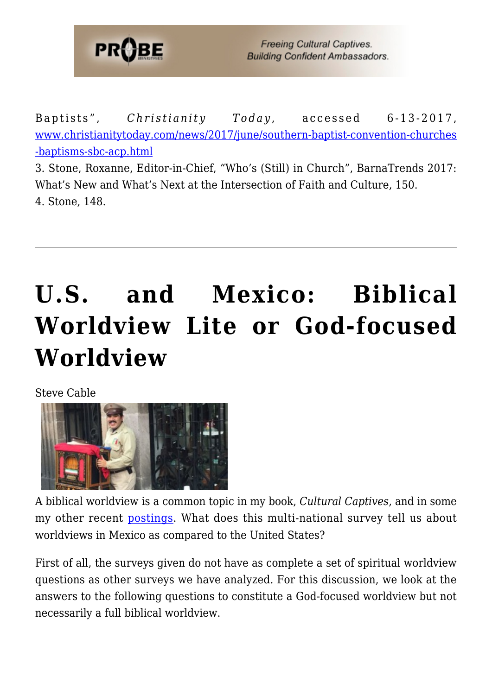

Baptists", *Christianity* Today, accessed 6-13-2017, [www.christianitytoday.com/news/2017/june/southern-baptist-convention-churches](http://www.christianitytoday.com/news/2017/june/southern-baptist-convention-churches-baptisms-sbc-acp.html) [-baptisms-sbc-acp.html](http://www.christianitytoday.com/news/2017/june/southern-baptist-convention-churches-baptisms-sbc-acp.html)

3. Stone, Roxanne, Editor-in-Chief, "Who's (Still) in Church", BarnaTrends 2017: What's New and What's Next at the Intersection of Faith and Culture, 150. 4. Stone, 148.

# **[U.S. and Mexico: Biblical](https://probe.org/u-s-and-mexico-biblical-worldview-lite-or-god-focused-worldview/) [Worldview Lite or God-focused](https://probe.org/u-s-and-mexico-biblical-worldview-lite-or-god-focused-worldview/) [Worldview](https://probe.org/u-s-and-mexico-biblical-worldview-lite-or-god-focused-worldview/)**

Steve Cable



A biblical worldview is a common topic in my book, *Cultural Captives*, and in some my other recent [postings.](https://www.probe.org/cultural-research/) What does this multi-national survey tell us about worldviews in Mexico as compared to the United States?

First of all, the surveys given do not have as complete a set of spiritual worldview questions as other surveys we have analyzed. For this discussion, we look at the answers to the following questions to constitute a God-focused worldview but not necessarily a full biblical worldview.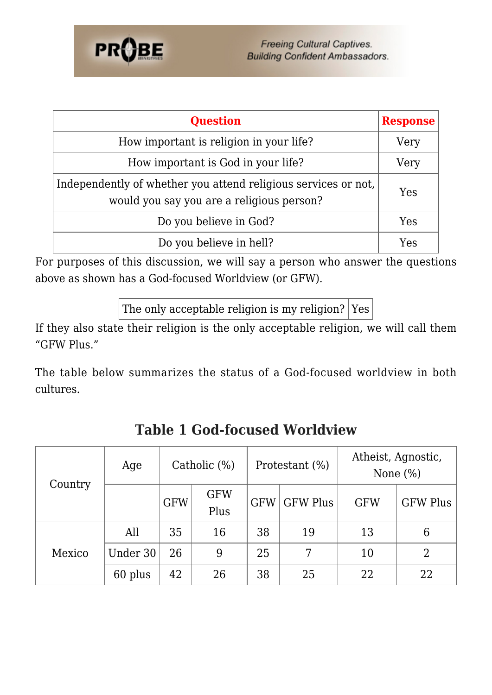

| <b>Question</b>                                                                                             | <b>Response</b> |  |  |  |  |  |
|-------------------------------------------------------------------------------------------------------------|-----------------|--|--|--|--|--|
| How important is religion in your life?                                                                     |                 |  |  |  |  |  |
| How important is God in your life?                                                                          | Very            |  |  |  |  |  |
| Independently of whether you attend religious services or not.<br>would you say you are a religious person? |                 |  |  |  |  |  |
| Do you believe in God?                                                                                      | Yes             |  |  |  |  |  |
| Do you believe in hell?                                                                                     | Yes             |  |  |  |  |  |

For purposes of this discussion, we will say a person who answer the questions above as shown has a God-focused Worldview (or GFW).

The only acceptable religion is my religion?  $Yes$ 

If they also state their religion is the only acceptable religion, we will call them "GFW Plus."

The table below summarizes the status of a God-focused worldview in both cultures.

| Country | Age      | Catholic (%) |                    |            | Protestant (%)  | Atheist, Agnostic,<br>None $(\%)$ |                 |
|---------|----------|--------------|--------------------|------------|-----------------|-----------------------------------|-----------------|
|         |          | <b>GFW</b>   | <b>GFW</b><br>Plus | <b>GFW</b> | <b>GFW Plus</b> | <b>GFW</b>                        | <b>GFW Plus</b> |
| Mexico  | All      | 35           | 16                 | 38         | 19              | 13                                | 6               |
|         | Under 30 | 26           | 9                  | 25         | 7               | 10                                | $\overline{2}$  |
|         | 60 plus  | 42           | 26                 | 38         | 25              | 22                                | 22              |

**Table 1 God-focused Worldview**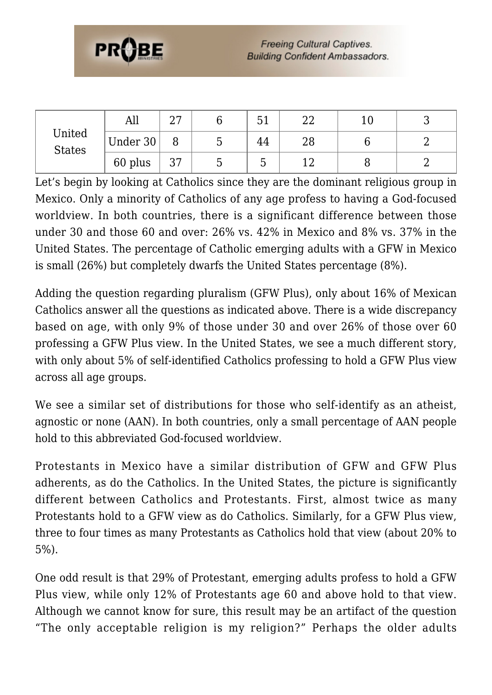

| United<br><b>States</b> | All      | $\cap$<br>، ت |   | 51 | ∩∩<br>▵▵ | ⊥∪ |  |
|-------------------------|----------|---------------|---|----|----------|----|--|
|                         | Under 30 |               | υ | 44 | 28       |    |  |
|                         | 60 plus  | つワ<br>، ں     | ◡ | U  | 1 ຕ      |    |  |

Let's begin by looking at Catholics since they are the dominant religious group in Mexico. Only a minority of Catholics of any age profess to having a God-focused worldview. In both countries, there is a significant difference between those under 30 and those 60 and over: 26% vs. 42% in Mexico and 8% vs. 37% in the United States. The percentage of Catholic emerging adults with a GFW in Mexico is small (26%) but completely dwarfs the United States percentage (8%).

Adding the question regarding pluralism (GFW Plus), only about 16% of Mexican Catholics answer all the questions as indicated above. There is a wide discrepancy based on age, with only 9% of those under 30 and over 26% of those over 60 professing a GFW Plus view. In the United States, we see a much different story, with only about 5% of self-identified Catholics professing to hold a GFW Plus view across all age groups.

We see a similar set of distributions for those who self-identify as an atheist, agnostic or none (AAN). In both countries, only a small percentage of AAN people hold to this abbreviated God-focused worldview.

Protestants in Mexico have a similar distribution of GFW and GFW Plus adherents, as do the Catholics. In the United States, the picture is significantly different between Catholics and Protestants. First, almost twice as many Protestants hold to a GFW view as do Catholics. Similarly, for a GFW Plus view, three to four times as many Protestants as Catholics hold that view (about 20% to 5%).

One odd result is that 29% of Protestant, emerging adults profess to hold a GFW Plus view, while only 12% of Protestants age 60 and above hold to that view. Although we cannot know for sure, this result may be an artifact of the question "The only acceptable religion is my religion?" Perhaps the older adults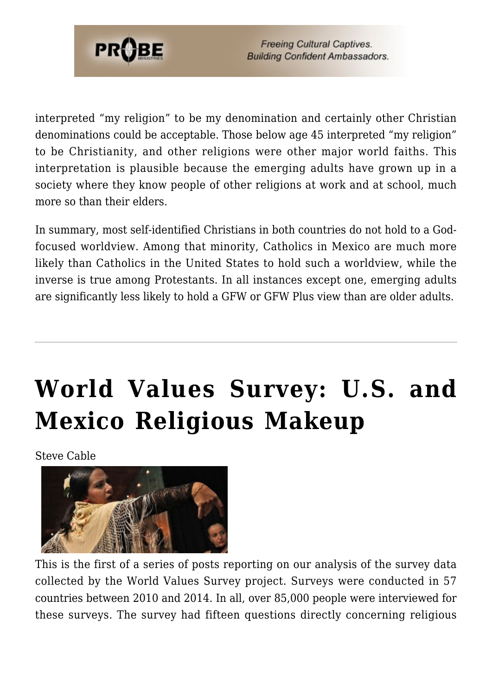

interpreted "my religion" to be my denomination and certainly other Christian denominations could be acceptable. Those below age 45 interpreted "my religion" to be Christianity, and other religions were other major world faiths. This interpretation is plausible because the emerging adults have grown up in a society where they know people of other religions at work and at school, much more so than their elders.

In summary, most self-identified Christians in both countries do not hold to a Godfocused worldview. Among that minority, Catholics in Mexico are much more likely than Catholics in the United States to hold such a worldview, while the inverse is true among Protestants. In all instances except one, emerging adults are significantly less likely to hold a GFW or GFW Plus view than are older adults.

# **[World Values Survey: U.S. and](https://probe.org/world-values-survey-u-s-and-mexico-religious-makeup/) [Mexico Religious Makeup](https://probe.org/world-values-survey-u-s-and-mexico-religious-makeup/)**

Steve Cable



This is the first of a series of posts reporting on our analysis of the survey data collected by the World Values Survey project. Surveys were conducted in 57 countries between 2010 and 2014. In all, over 85,000 people were interviewed for these surveys. The survey had fifteen questions directly concerning religious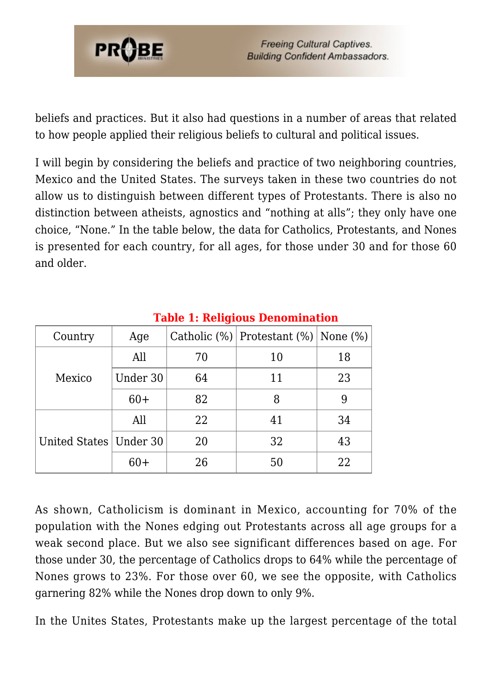

beliefs and practices. But it also had questions in a number of areas that related to how people applied their religious beliefs to cultural and political issues.

I will begin by considering the beliefs and practice of two neighboring countries, Mexico and the United States. The surveys taken in these two countries do not allow us to distinguish between different types of Protestants. There is also no distinction between atheists, agnostics and "nothing at alls"; they only have one choice, "None." In the table below, the data for Catholics, Protestants, and Nones is presented for each country, for all ages, for those under 30 and for those 60 and older.

| Country                  | Age      |    | Catholic $%$   Protestant $%$   None $%$   None $%$   None $%$   None $%$   None $%$   None $%$   None $%$   None $%$   None $%$   None $%$   None $%$   None $%$   None $%$   None $%$   None $%$   None $%$   None $%$   No |    |
|--------------------------|----------|----|-------------------------------------------------------------------------------------------------------------------------------------------------------------------------------------------------------------------------------|----|
|                          | All      | 70 | 10                                                                                                                                                                                                                            | 18 |
| Mexico                   | Under 30 | 64 | 11                                                                                                                                                                                                                            | 23 |
|                          | $60+$    | 82 | 8                                                                                                                                                                                                                             | 9  |
|                          | All      | 22 | 41                                                                                                                                                                                                                            | 34 |
| United States   Under 30 |          | 20 | 32                                                                                                                                                                                                                            | 43 |
|                          | $60+$    | 26 | 50                                                                                                                                                                                                                            | 22 |

#### **Table 1: Religious Denomination**

As shown, Catholicism is dominant in Mexico, accounting for 70% of the population with the Nones edging out Protestants across all age groups for a weak second place. But we also see significant differences based on age. For those under 30, the percentage of Catholics drops to 64% while the percentage of Nones grows to 23%. For those over 60, we see the opposite, with Catholics garnering 82% while the Nones drop down to only 9%.

In the Unites States, Protestants make up the largest percentage of the total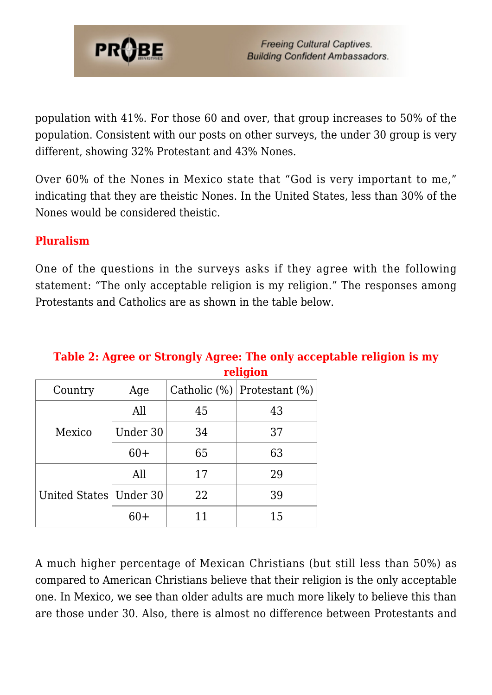

population with 41%. For those 60 and over, that group increases to 50% of the population. Consistent with our posts on other surveys, the under 30 group is very different, showing 32% Protestant and 43% Nones.

Over 60% of the Nones in Mexico state that "God is very important to me," indicating that they are theistic Nones. In the United States, less than 30% of the Nones would be considered theistic.

#### **Pluralism**

One of the questions in the surveys asks if they agree with the following statement: "The only acceptable religion is my religion." The responses among Protestants and Catholics are as shown in the table below.

| Country<br>Age           |          |    | Catholic $(\%)$ Protestant $(\%)$ |
|--------------------------|----------|----|-----------------------------------|
|                          | All      | 45 | 43                                |
| Mexico                   | Under 30 | 34 | 37                                |
|                          | $60+$    | 65 | 63                                |
| United States   Under 30 | All      | 17 | 29                                |
|                          |          | 22 | 39                                |
|                          | 60+      | 11 | 15                                |

#### **Table 2: Agree or Strongly Agree: The only acceptable religion is my religion**

A much higher percentage of Mexican Christians (but still less than 50%) as compared to American Christians believe that their religion is the only acceptable one. In Mexico, we see than older adults are much more likely to believe this than are those under 30. Also, there is almost no difference between Protestants and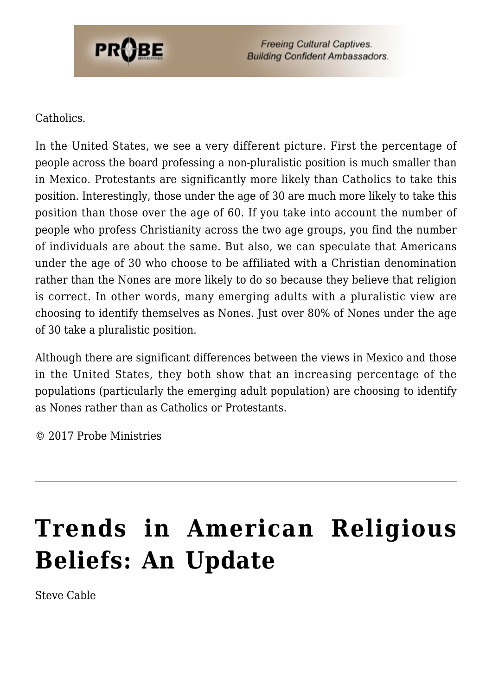

#### Catholics.

In the United States, we see a very different picture. First the percentage of people across the board professing a non-pluralistic position is much smaller than in Mexico. Protestants are significantly more likely than Catholics to take this position. Interestingly, those under the age of 30 are much more likely to take this position than those over the age of 60. If you take into account the number of people who profess Christianity across the two age groups, you find the number of individuals are about the same. But also, we can speculate that Americans under the age of 30 who choose to be affiliated with a Christian denomination rather than the Nones are more likely to do so because they believe that religion is correct. In other words, many emerging adults with a pluralistic view are choosing to identify themselves as Nones. Just over 80% of Nones under the age of 30 take a pluralistic position.

Although there are significant differences between the views in Mexico and those in the United States, they both show that an increasing percentage of the populations (particularly the emerging adult population) are choosing to identify as Nones rather than as Catholics or Protestants.

© 2017 Probe Ministries

# **[Trends in American Religious](https://probe.org/trends-in-american-religious-beliefs-an-update/) [Beliefs: An Update](https://probe.org/trends-in-american-religious-beliefs-an-update/)**

Steve Cable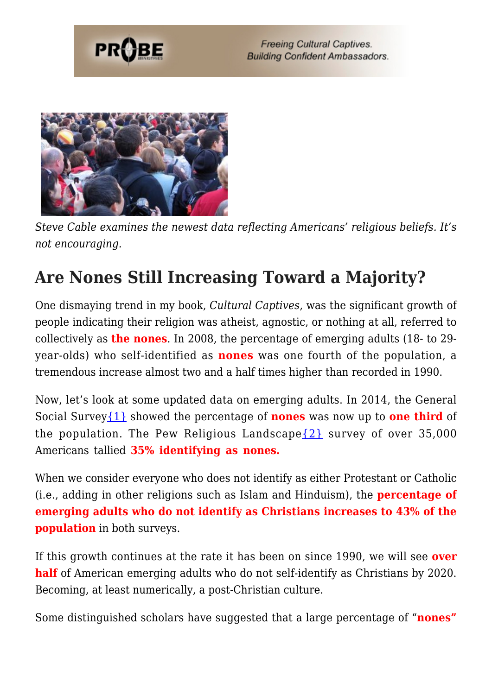



*Steve Cable examines the newest data reflecting Americans' religious beliefs. It's not encouraging.*

### **Are Nones Still Increasing Toward a Majority?**

One dismaying trend in my book, *Cultural Captives*, was the significant growth of people indicating their religion was atheist, agnostic, or nothing at all, referred to collectively as **the nones**. In 2008, the percentage of emerging adults (18- to 29 year-olds) who self-identified as **nones** was one fourth of the population, a tremendous increase almost two and a half times higher than recorded in 1990.

Now, let's look at some updated data on emerging adults. In 2014, the General Social Survey[{1}](#page-40-0) showed the percentage of **nones** was now up to **one third** of the population. The Pew Religious Landscape  $\{2\}$  survey of over 35,000 Americans tallied **35% identifying as nones.**

When we consider everyone who does not identify as either Protestant or Catholic (i.e., adding in other religions such as Islam and Hinduism), the **percentage of emerging adults who do not identify as Christians increases to 43% of the population** in both surveys.

If this growth continues at the rate it has been on since 1990, we will see **over half** of American emerging adults who do not self-identify as Christians by 2020. Becoming, at least numerically, a post-Christian culture.

Some distinguished scholars have suggested that a large percentage of "**nones"**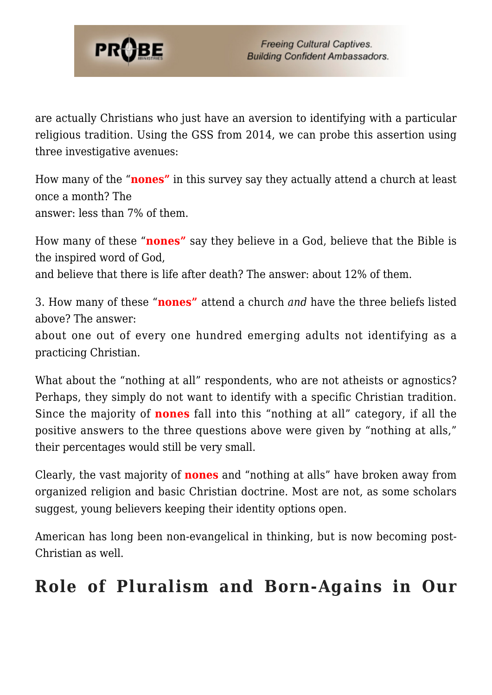

are actually Christians who just have an aversion to identifying with a particular religious tradition. Using the GSS from 2014, we can probe this assertion using three investigative avenues:

How many of the "**nones"** in this survey say they actually attend a church at least once a month? The answer: less than 7% of them.

How many of these "**nones"** say they believe in a God, believe that the Bible is the inspired word of God, and believe that there is life after death? The answer: about 12% of them.

3. How many of these "**nones"** attend a church *and* have the three beliefs listed above? The answer:

about one out of every one hundred emerging adults not identifying as a practicing Christian.

What about the "nothing at all" respondents, who are not atheists or agnostics? Perhaps, they simply do not want to identify with a specific Christian tradition. Since the majority of **nones** fall into this "nothing at all" category, if all the positive answers to the three questions above were given by "nothing at alls," their percentages would still be very small.

Clearly, the vast majority of **nones** and "nothing at alls" have broken away from organized religion and basic Christian doctrine. Most are not, as some scholars suggest, young believers keeping their identity options open.

American has long been non-evangelical in thinking, but is now becoming post-Christian as well.

### **Role of Pluralism and Born-Agains in Our**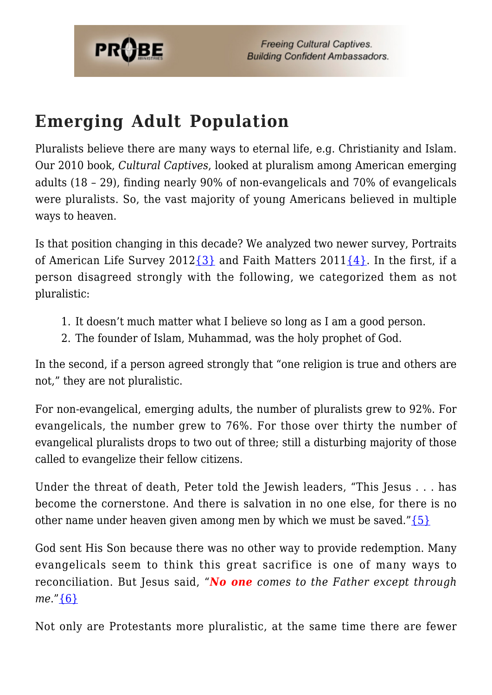

### **Emerging Adult Population**

Pluralists believe there are many ways to eternal life, e.g. Christianity and Islam. Our 2010 book, *Cultural Captives*, looked at pluralism among American emerging adults (18 – 29), finding nearly 90% of non-evangelicals and 70% of evangelicals were pluralists. So, the vast majority of young Americans believed in multiple ways to heaven.

Is that position changing in this decade? We analyzed two newer survey, Portraits of American Life Survey 2012 $\{3\}$  and Faith Matters 2011 $\{4\}$ . In the first, if a person disagreed strongly with the following, we categorized them as not pluralistic:

- 1. It doesn't much matter what I believe so long as I am a good person.
- 2. The founder of Islam, Muhammad, was the holy prophet of God.

In the second, if a person agreed strongly that "one religion is true and others are not," they are not pluralistic.

For non-evangelical, emerging adults, the number of pluralists grew to 92%. For evangelicals, the number grew to 76%. For those over thirty the number of evangelical pluralists drops to two out of three; still a disturbing majority of those called to evangelize their fellow citizens.

Under the threat of death, Peter told the Jewish leaders, "This Jesus . . . has become the cornerstone. And there is salvation in no one else, for there is no other name under heaven given among men by which we must be saved." $\{5\}$ 

God sent His Son because there was no other way to provide redemption. Many evangelicals seem to think this great sacrifice is one of many ways to reconciliation. But Jesus said, "*No one comes to the Father except through me*.["{6}](#page-40-0)

Not only are Protestants more pluralistic, at the same time there are fewer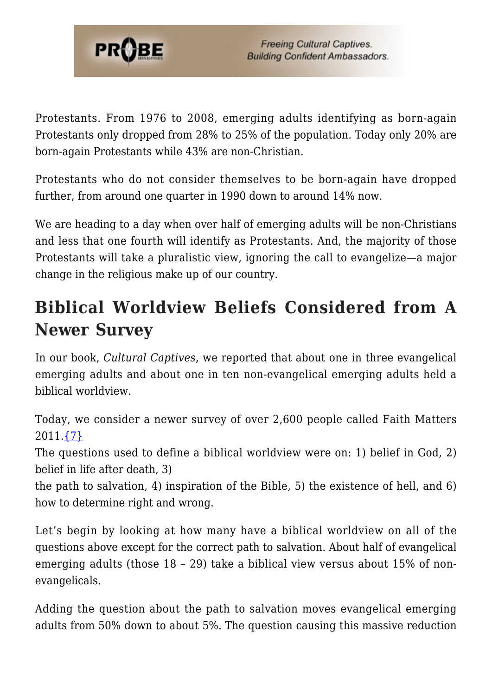

Protestants. From 1976 to 2008, emerging adults identifying as born-again Protestants only dropped from 28% to 25% of the population. Today only 20% are born-again Protestants while 43% are non-Christian.

Protestants who do not consider themselves to be born-again have dropped further, from around one quarter in 1990 down to around 14% now.

We are heading to a day when over half of emerging adults will be non-Christians and less that one fourth will identify as Protestants. And, the majority of those Protestants will take a pluralistic view, ignoring the call to evangelize—a major change in the religious make up of our country.

### **Biblical Worldview Beliefs Considered from A Newer Survey**

In our book, *Cultural Captives*, we reported that about one in three evangelical emerging adults and about one in ten non-evangelical emerging adults held a biblical worldview.

Today, we consider a newer survey of over 2,600 people called Faith Matters 2011[.{7}](#page-40-0)

The questions used to define a biblical worldview were on: 1) belief in God, 2) belief in life after death, 3)

the path to salvation, 4) inspiration of the Bible, 5) the existence of hell, and 6) how to determine right and wrong.

Let's begin by looking at how many have a biblical worldview on all of the questions above except for the correct path to salvation. About half of evangelical emerging adults (those 18 – 29) take a biblical view versus about 15% of nonevangelicals.

Adding the question about the path to salvation moves evangelical emerging adults from 50% down to about 5%. The question causing this massive reduction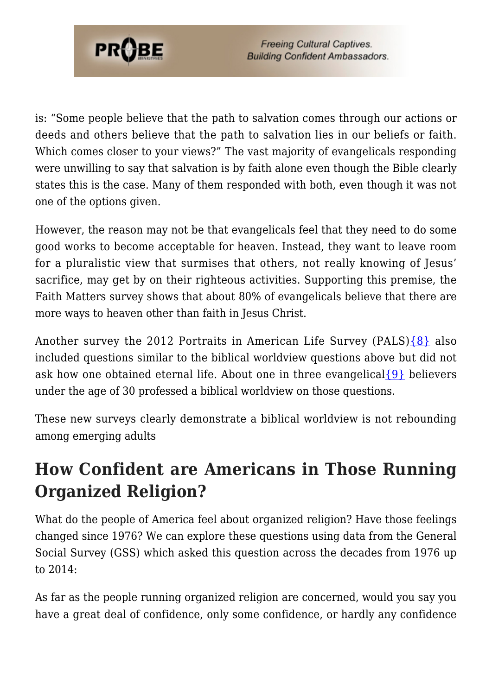

is: "Some people believe that the path to salvation comes through our actions or deeds and others believe that the path to salvation lies in our beliefs or faith. Which comes closer to your views?" The vast majority of evangelicals responding were unwilling to say that salvation is by faith alone even though the Bible clearly states this is the case. Many of them responded with both, even though it was not one of the options given.

However, the reason may not be that evangelicals feel that they need to do some good works to become acceptable for heaven. Instead, they want to leave room for a pluralistic view that surmises that others, not really knowing of Jesus' sacrifice, may get by on their righteous activities. Supporting this premise, the Faith Matters survey shows that about 80% of evangelicals believe that there are more ways to heaven other than faith in Jesus Christ.

Another survey the 2012 Portraits in American Life Survey (PALS)[{8}](#page-40-0) also included questions similar to the biblical worldview questions above but did not ask how one obtained eternal life. About one in three evangelical  $\{9\}$  believers under the age of 30 professed a biblical worldview on those questions.

These new surveys clearly demonstrate a biblical worldview is not rebounding among emerging adults

### **How Confident are Americans in Those Running Organized Religion?**

What do the people of America feel about organized religion? Have those feelings changed since 1976? We can explore these questions using data from the General Social Survey (GSS) which asked this question across the decades from 1976 up to 2014:

As far as the people running organized religion are concerned, would you say you have a great deal of confidence, only some confidence, or hardly any confidence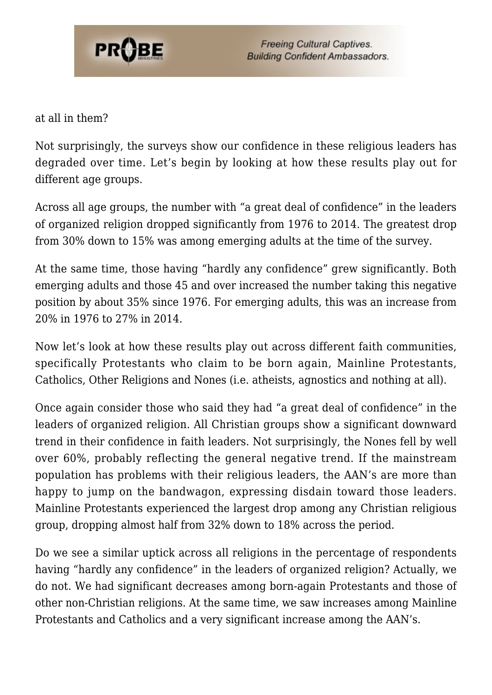

at all in them?

Not surprisingly, the surveys show our confidence in these religious leaders has degraded over time. Let's begin by looking at how these results play out for different age groups.

Across all age groups, the number with "a great deal of confidence" in the leaders of organized religion dropped significantly from 1976 to 2014. The greatest drop from 30% down to 15% was among emerging adults at the time of the survey.

At the same time, those having "hardly any confidence" grew significantly. Both emerging adults and those 45 and over increased the number taking this negative position by about 35% since 1976. For emerging adults, this was an increase from 20% in 1976 to 27% in 2014.

Now let's look at how these results play out across different faith communities, specifically Protestants who claim to be born again, Mainline Protestants, Catholics, Other Religions and Nones (i.e. atheists, agnostics and nothing at all).

Once again consider those who said they had "a great deal of confidence" in the leaders of organized religion. All Christian groups show a significant downward trend in their confidence in faith leaders. Not surprisingly, the Nones fell by well over 60%, probably reflecting the general negative trend. If the mainstream population has problems with their religious leaders, the AAN's are more than happy to jump on the bandwagon, expressing disdain toward those leaders. Mainline Protestants experienced the largest drop among any Christian religious group, dropping almost half from 32% down to 18% across the period.

Do we see a similar uptick across all religions in the percentage of respondents having "hardly any confidence" in the leaders of organized religion? Actually, we do not. We had significant decreases among born-again Protestants and those of other non-Christian religions. At the same time, we saw increases among Mainline Protestants and Catholics and a very significant increase among the AAN's.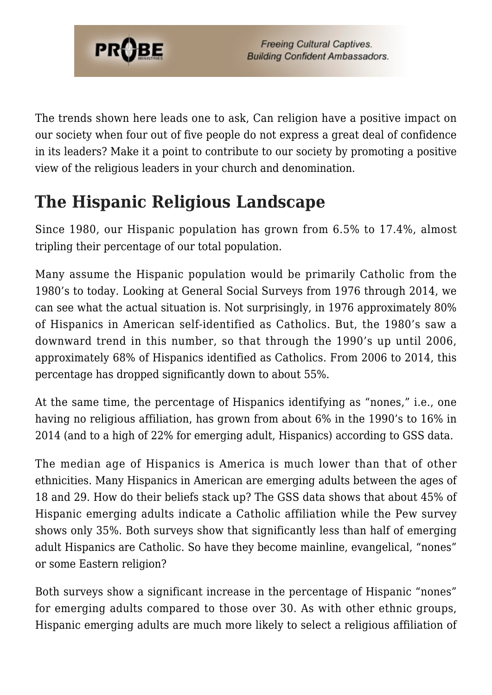

The trends shown here leads one to ask, Can religion have a positive impact on our society when four out of five people do not express a great deal of confidence in its leaders? Make it a point to contribute to our society by promoting a positive view of the religious leaders in your church and denomination.

### **The Hispanic Religious Landscape**

Since 1980, our Hispanic population has grown from 6.5% to 17.4%, almost tripling their percentage of our total population.

Many assume the Hispanic population would be primarily Catholic from the 1980's to today. Looking at General Social Surveys from 1976 through 2014, we can see what the actual situation is. Not surprisingly, in 1976 approximately 80% of Hispanics in American self-identified as Catholics. But, the 1980's saw a downward trend in this number, so that through the 1990's up until 2006, approximately 68% of Hispanics identified as Catholics. From 2006 to 2014, this percentage has dropped significantly down to about 55%.

At the same time, the percentage of Hispanics identifying as "nones," i.e., one having no religious affiliation, has grown from about 6% in the 1990's to 16% in 2014 (and to a high of 22% for emerging adult, Hispanics) according to GSS data.

The median age of Hispanics is America is much lower than that of other ethnicities. Many Hispanics in American are emerging adults between the ages of 18 and 29. How do their beliefs stack up? The GSS data shows that about 45% of Hispanic emerging adults indicate a Catholic affiliation while the Pew survey shows only 35%. Both surveys show that significantly less than half of emerging adult Hispanics are Catholic. So have they become mainline, evangelical, "nones" or some Eastern religion?

Both surveys show a significant increase in the percentage of Hispanic "nones" for emerging adults compared to those over 30. As with other ethnic groups, Hispanic emerging adults are much more likely to select a religious affiliation of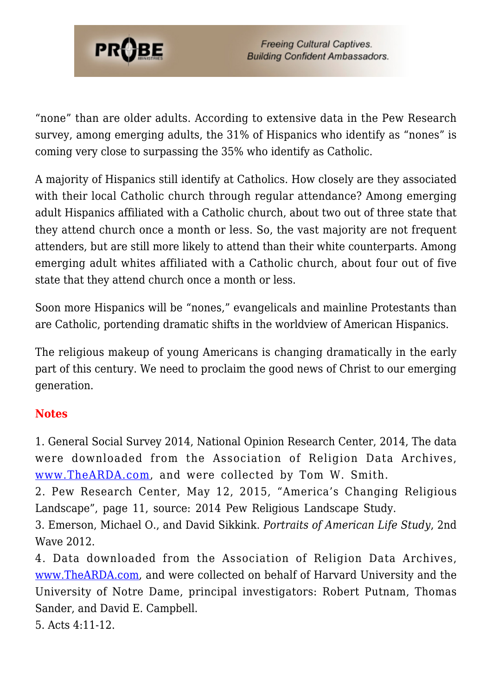

"none" than are older adults. According to extensive data in the Pew Research survey, among emerging adults, the 31% of Hispanics who identify as "nones" is coming very close to surpassing the 35% who identify as Catholic.

A majority of Hispanics still identify at Catholics. How closely are they associated with their local Catholic church through regular attendance? Among emerging adult Hispanics affiliated with a Catholic church, about two out of three state that they attend church once a month or less. So, the vast majority are not frequent attenders, but are still more likely to attend than their white counterparts. Among emerging adult whites affiliated with a Catholic church, about four out of five state that they attend church once a month or less.

Soon more Hispanics will be "nones," evangelicals and mainline Protestants than are Catholic, portending dramatic shifts in the worldview of American Hispanics.

The religious makeup of young Americans is changing dramatically in the early part of this century. We need to proclaim the good news of Christ to our emerging generation.

#### **Notes**

1. General Social Survey 2014, National Opinion Research Center, 2014, The data were downloaded from the Association of Religion Data Archives, [www.TheARDA.com,](http://www.thearda.com) and were collected by Tom W. Smith.

2. Pew Research Center, May 12, 2015, "America's Changing Religious Landscape", page 11, source: 2014 Pew Religious Landscape Study.

3. Emerson, Michael O., and David Sikkink. *Portraits of American Life Study*, 2nd Wave 2012.

<span id="page-21-0"></span>4. Data downloaded from the Association of Religion Data Archives, [www.TheARDA.com](http://www.thearda.com), and were collected on behalf of Harvard University and the University of Notre Dame, principal investigators: Robert Putnam, Thomas Sander, and David E. Campbell.

5. Acts 4:11-12.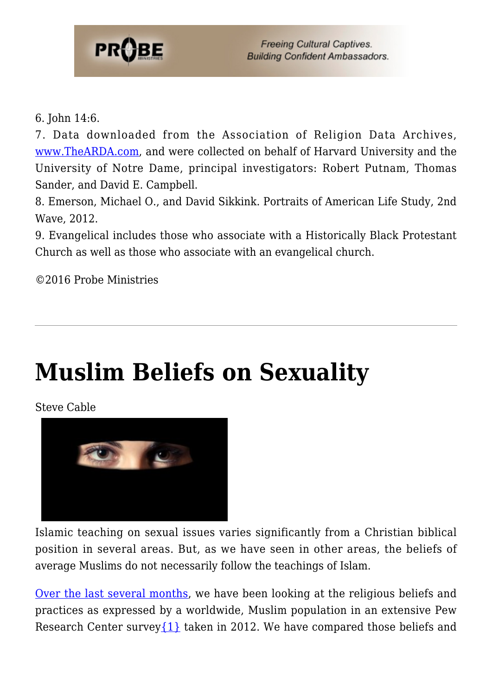

6. John 14:6.

7. Data downloaded from the Association of Religion Data Archives, [www.TheARDA.com](http://www.thearda.com), and were collected on behalf of Harvard University and the University of Notre Dame, principal investigators: Robert Putnam, Thomas Sander, and David E. Campbell.

8. Emerson, Michael O., and David Sikkink. Portraits of American Life Study, 2nd Wave, 2012.

9. Evangelical includes those who associate with a Historically Black Protestant Church as well as those who associate with an evangelical church.

©2016 Probe Ministries

## **[Muslim Beliefs on Sexuality](https://probe.org/muslim-beliefs-on-sexuality/)**

Steve Cable



Islamic teaching on sexual issues varies significantly from a Christian biblical position in several areas. But, as we have seen in other areas, the beliefs of average Muslims do not necessarily follow the teachings of Islam.

[Over the last several months,](https://www.probe.org/cultural-research/) we have been looking at the religious beliefs and practices as expressed by a worldwide, Muslim population in an extensive Pew Research Center survey $\{1\}$  taken in 2012. We have compared those beliefs and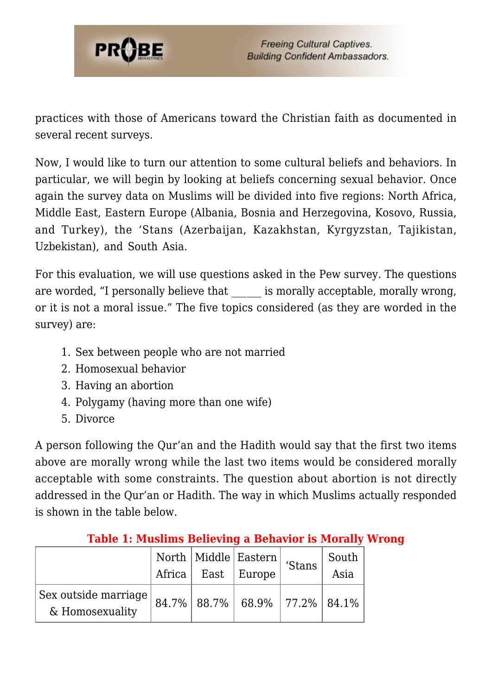

practices with those of Americans toward the Christian faith as documented in several recent surveys.

Now, I would like to turn our attention to some cultural beliefs and behaviors. In particular, we will begin by looking at beliefs concerning sexual behavior. Once again the survey data on Muslims will be divided into five regions: North Africa, Middle East, Eastern Europe (Albania, Bosnia and Herzegovina, Kosovo, Russia, and Turkey), the 'Stans (Azerbaijan, Kazakhstan, Kyrgyzstan, Tajikistan, Uzbekistan), and South Asia.

For this evaluation, we will use questions asked in the Pew survey. The questions are worded, "I personally believe that is morally acceptable, morally wrong, or it is not a moral issue." The five topics considered (as they are worded in the survey) are:

- 1. Sex between people who are not married
- 2. Homosexual behavior
- 3. Having an abortion
- 4. Polygamy (having more than one wife)
- 5. Divorce

A person following the Qur'an and the Hadith would say that the first two items above are morally wrong while the last two items would be considered morally acceptable with some constraints. The question about abortion is not directly addressed in the Qur'an or Hadith. The way in which Muslims actually responded is shown in the table below.

|                      |                        | $\mid \overline{\text{North}} \mid \overline{\text{Mid}} \text{dle} \mid \text{Eastern} \mid \text{ 'Stans } \mid \text{ '}$ | South |
|----------------------|------------------------|------------------------------------------------------------------------------------------------------------------------------|-------|
|                      | Africa   East   Europe |                                                                                                                              | Asia  |
| Sex outside marriage |                        | 84.7%   88.7%   68.9%   77.2%   84.1%                                                                                        |       |
| & Homosexuality      |                        |                                                                                                                              |       |

#### **Table 1: Muslims Believing a Behavior is Morally Wrong**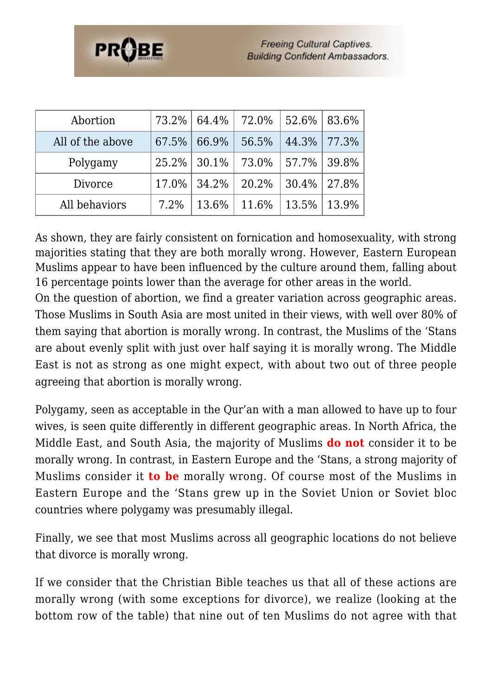| Abortion         | 73.2% | 64.4% | 72.0% | 52.6% | 83.6% |
|------------------|-------|-------|-------|-------|-------|
| All of the above | 67.5% | 66.9% | 56.5% | 44.3% | 77.3% |
| Polygamy         | 25.2% | 30.1% | 73.0% | 57.7% | 39.8% |
| Divorce          | 17.0% | 34.2% | 20.2% | 30.4% | 27.8% |
| All behaviors    | 7.2%  | 13.6% | 11.6% | 13.5% | 13.9% |

As shown, they are fairly consistent on fornication and homosexuality, with strong majorities stating that they are both morally wrong. However, Eastern European Muslims appear to have been influenced by the culture around them, falling about 16 percentage points lower than the average for other areas in the world.

On the question of abortion, we find a greater variation across geographic areas. Those Muslims in South Asia are most united in their views, with well over 80% of them saying that abortion is morally wrong. In contrast, the Muslims of the 'Stans are about evenly split with just over half saying it is morally wrong. The Middle East is not as strong as one might expect, with about two out of three people agreeing that abortion is morally wrong.

Polygamy, seen as acceptable in the Qur'an with a man allowed to have up to four wives, is seen quite differently in different geographic areas. In North Africa, the Middle East, and South Asia, the majority of Muslims **do not** consider it to be morally wrong. In contrast, in Eastern Europe and the 'Stans, a strong majority of Muslims consider it **to be** morally wrong. Of course most of the Muslims in Eastern Europe and the 'Stans grew up in the Soviet Union or Soviet bloc countries where polygamy was presumably illegal.

Finally, we see that most Muslims across all geographic locations do not believe that divorce is morally wrong.

If we consider that the Christian Bible teaches us that all of these actions are morally wrong (with some exceptions for divorce), we realize (looking at the bottom row of the table) that nine out of ten Muslims do not agree with that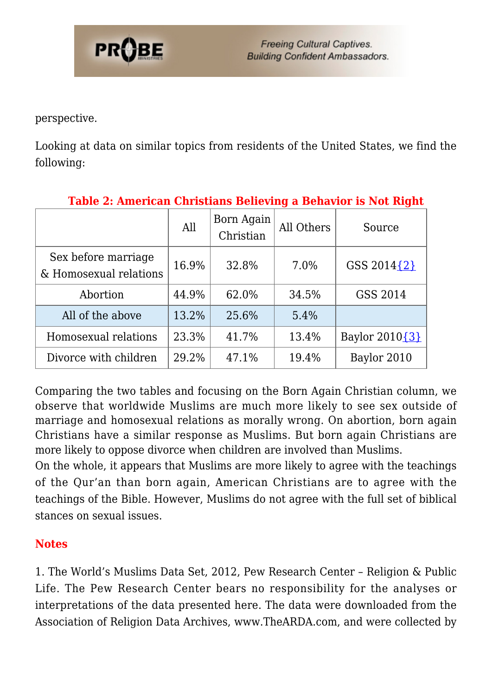

perspective.

Looking at data on similar topics from residents of the United States, we find the following:

|                                               | All   | Born Again<br>Christian | All Others | ັ<br>Source    |
|-----------------------------------------------|-------|-------------------------|------------|----------------|
| Sex before marriage<br>& Homosexual relations | 16.9% | 32.8%                   | 7.0%       | GSS 2014{2}    |
| Abortion                                      | 44.9% | 62.0%                   | 34.5%      | GSS 2014       |
| All of the above                              | 13.2% | 25.6%                   | 5.4%       |                |
| Homosexual relations                          | 23.3% | 41.7%                   | 13.4%      | Baylor 2010{3} |
| Divorce with children                         | 29.2% | 47.1%                   | 19.4%      | Baylor 2010    |

#### **Table 2: American Christians Believing a Behavior is Not Right**

Comparing the two tables and focusing on the Born Again Christian column, we observe that worldwide Muslims are much more likely to see sex outside of marriage and homosexual relations as morally wrong. On abortion, born again Christians have a similar response as Muslims. But born again Christians are more likely to oppose divorce when children are involved than Muslims.

On the whole, it appears that Muslims are more likely to agree with the teachings of the Qur'an than born again, American Christians are to agree with the teachings of the Bible. However, Muslims do not agree with the full set of biblical stances on sexual issues.

#### **Notes**

1. The World's Muslims Data Set, 2012, Pew Research Center – Religion & Public Life. The Pew Research Center bears no responsibility for the analyses or interpretations of the data presented here. The data were downloaded from the Association of Religion Data Archives, www.TheARDA.com, and were collected by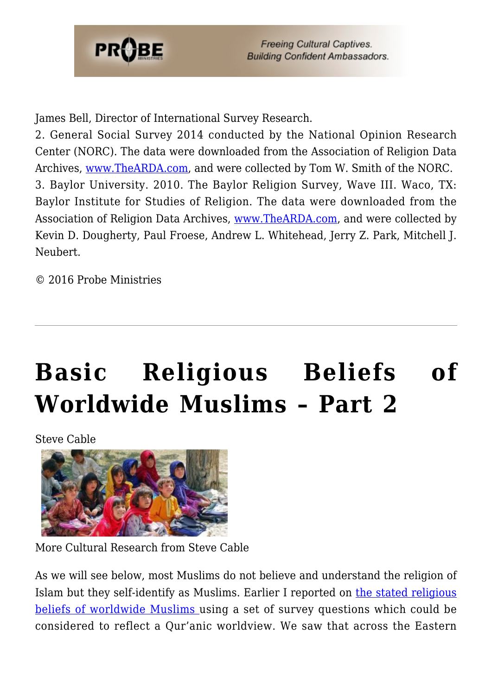

James Bell, Director of International Survey Research.

<span id="page-26-0"></span>2. General Social Survey 2014 conducted by the National Opinion Research Center (NORC). The data were downloaded from the Association of Religion Data Archives, [www.TheARDA.com,](http://www.thearda.com) and were collected by Tom W. Smith of the NORC. 3. Baylor University. 2010. The Baylor Religion Survey, Wave III. Waco, TX: Baylor Institute for Studies of Religion. The data were downloaded from the Association of Religion Data Archives, [www.TheARDA.com](http://www.thearda.com), and were collected by Kevin D. Dougherty, Paul Froese, Andrew L. Whitehead, Jerry Z. Park, Mitchell J. Neubert.

© 2016 Probe Ministries

## **[Basic Religious Beliefs of](https://probe.org/basic-religious-beliefs-of-worldwide-muslims-part-2/) [Worldwide Muslims – Part 2](https://probe.org/basic-religious-beliefs-of-worldwide-muslims-part-2/)**

Steve Cable



More Cultural Research from Steve Cable

As we will see below, most Muslims do not believe and understand the religion of Islam but they self-identify as Muslims. Earlier I reported on [the stated religious](https://www.probe.org/basic-religious-beliefs-of-worldwide-muslims/) [beliefs of worldwide Muslims](https://www.probe.org/basic-religious-beliefs-of-worldwide-muslims/) using a set of survey questions which could be considered to reflect a Qur'anic worldview. We saw that across the Eastern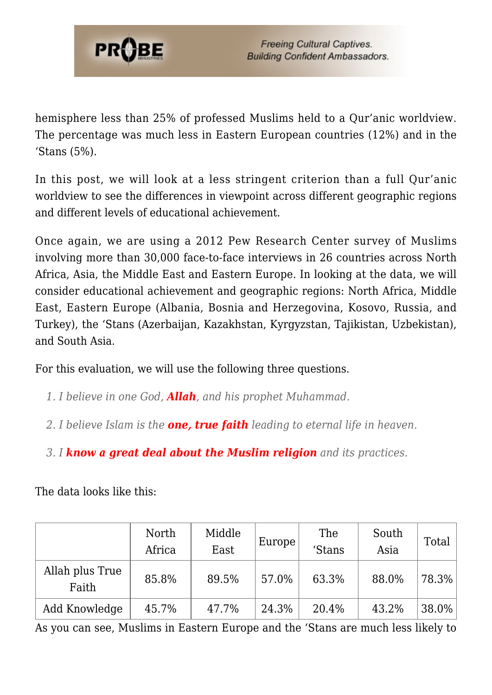

hemisphere less than 25% of professed Muslims held to a Qur'anic worldview. The percentage was much less in Eastern European countries (12%) and in the 'Stans (5%).

In this post, we will look at a less stringent criterion than a full Qur'anic worldview to see the differences in viewpoint across different geographic regions and different levels of educational achievement.

Once again, we are using a 2012 Pew Research Center survey of Muslims involving more than 30,000 face-to-face interviews in 26 countries across North Africa, Asia, the Middle East and Eastern Europe. In looking at the data, we will consider educational achievement and geographic regions: North Africa, Middle East, Eastern Europe (Albania, Bosnia and Herzegovina, Kosovo, Russia, and Turkey), the 'Stans (Azerbaijan, Kazakhstan, Kyrgyzstan, Tajikistan, Uzbekistan), and South Asia.

For this evaluation, we will use the following three questions.

- *1. I believe in one God, Allah, and his prophet Muhammad.*
- *2. I believe Islam is the one, true faith leading to eternal life in heaven.*
- *3. I know a great deal about the Muslim religion and its practices.*

The data looks like this:

|                          | North<br>Africa | Middle<br>East | Europe! | The<br>'Stans | South<br>Asia | <b>Total</b> |
|--------------------------|-----------------|----------------|---------|---------------|---------------|--------------|
| Allah plus True<br>Faith | 85.8%           | 89.5%          | 57.0%   | 63.3%         | 88.0%         | 78.3%        |
| Add Knowledge            | 45.7%           | 47.7%          | 24.3%   | 20.4%         | 43.2%         | $38.0\%$     |

As you can see, Muslims in Eastern Europe and the 'Stans are much less likely to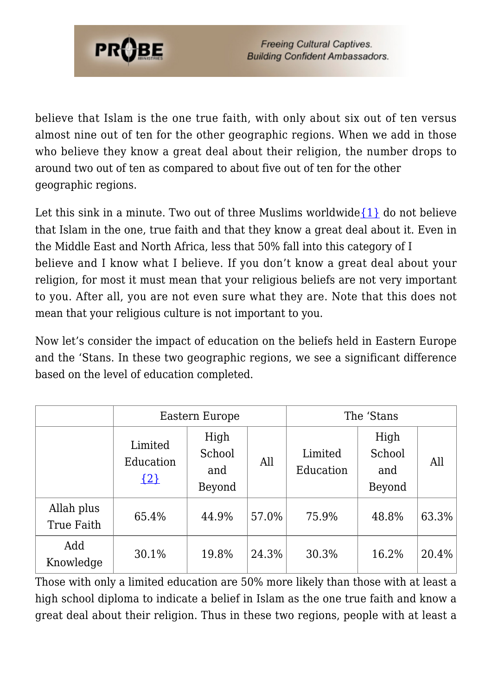

believe that Islam is the one true faith, with only about six out of ten versus almost nine out of ten for the other geographic regions. When we add in those who believe they know a great deal about their religion, the number drops to around two out of ten as compared to about five out of ten for the other geographic regions.

Let this sink in a minute. Two out of three Muslims worldwide  $\{1\}$  do not believe that Islam in the one, true faith and that they know a great deal about it. Even in the Middle East and North Africa, less that 50% fall into this category of I believe and I know what I believe. If you don't know a great deal about your religion, for most it must mean that your religious beliefs are not very important to you. After all, you are not even sure what they are. Note that this does not mean that your religious culture is not important to you.

Now let's consider the impact of education on the beliefs held in Eastern Europe and the 'Stans. In these two geographic regions, we see a significant difference based on the level of education completed.

|                          | Eastern Europe                  |                                 |       | The 'Stans           |                                 |       |
|--------------------------|---------------------------------|---------------------------------|-------|----------------------|---------------------------------|-------|
|                          | Limited<br>Education<br>$\{2\}$ | High<br>School<br>and<br>Beyond | All   | Limited<br>Education | High<br>School<br>and<br>Beyond | All   |
| Allah plus<br>True Faith | 65.4%                           | 44.9%                           | 57.0% | 75.9%                | 48.8%                           | 63.3% |
| Add<br>Knowledge         | 30.1%                           | 19.8%                           | 24.3% | 30.3%                | 16.2%                           | 20.4% |

Those with only a limited education are 50% more likely than those with at least a high school diploma to indicate a belief in Islam as the one true faith and know a great deal about their religion. Thus in these two regions, people with at least a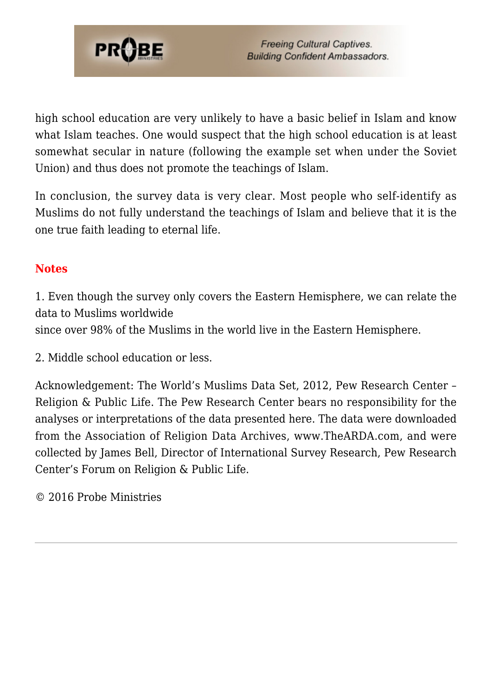

high school education are very unlikely to have a basic belief in Islam and know what Islam teaches. One would suspect that the high school education is at least somewhat secular in nature (following the example set when under the Soviet Union) and thus does not promote the teachings of Islam.

In conclusion, the survey data is very clear. Most people who self-identify as Muslims do not fully understand the teachings of Islam and believe that it is the one true faith leading to eternal life.

#### **Notes**

1. Even though the survey only covers the Eastern Hemisphere, we can relate the data to Muslims worldwide

since over 98% of the Muslims in the world live in the Eastern Hemisphere.

2. Middle school education or less.

Acknowledgement: The World's Muslims Data Set, 2012, Pew Research Center – Religion & Public Life. The Pew Research Center bears no responsibility for the analyses or interpretations of the data presented here. The data were downloaded from the Association of Religion Data Archives, www.TheARDA.com, and were collected by James Bell, Director of International Survey Research, Pew Research Center's Forum on Religion & Public Life.

© 2016 Probe Ministries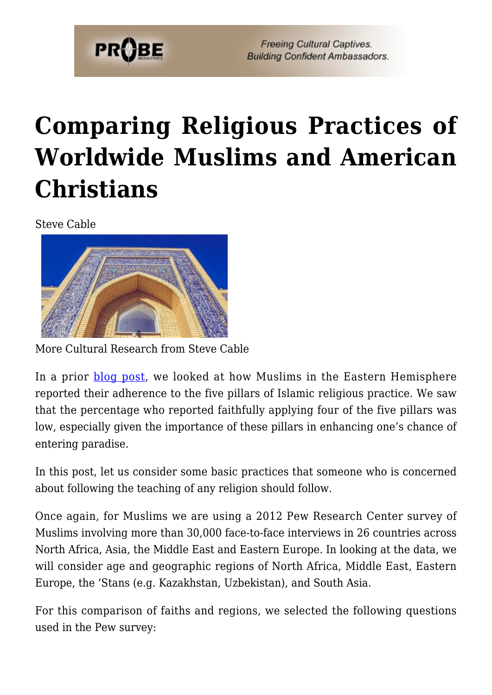

## **[Comparing Religious Practices of](https://probe.org/comparing-religious-practices-of-worldwide-muslims-and-american-christians/) [Worldwide Muslims and American](https://probe.org/comparing-religious-practices-of-worldwide-muslims-and-american-christians/) [Christians](https://probe.org/comparing-religious-practices-of-worldwide-muslims-and-american-christians/)**

Steve Cable



More Cultural Research from Steve Cable

In a prior **blog post**, we looked at how Muslims in the Eastern Hemisphere reported their adherence to the five pillars of Islamic religious practice. We saw that the percentage who reported faithfully applying four of the five pillars was low, especially given the importance of these pillars in enhancing one's chance of entering paradise.

In this post, let us consider some basic practices that someone who is concerned about following the teaching of any religion should follow.

Once again, for Muslims we are using a 2012 Pew Research Center survey of Muslims involving more than 30,000 face-to-face interviews in 26 countries across North Africa, Asia, the Middle East and Eastern Europe. In looking at the data, we will consider age and geographic regions of North Africa, Middle East, Eastern Europe, the 'Stans (e.g. Kazakhstan, Uzbekistan), and South Asia.

For this comparison of faiths and regions, we selected the following questions used in the Pew survey: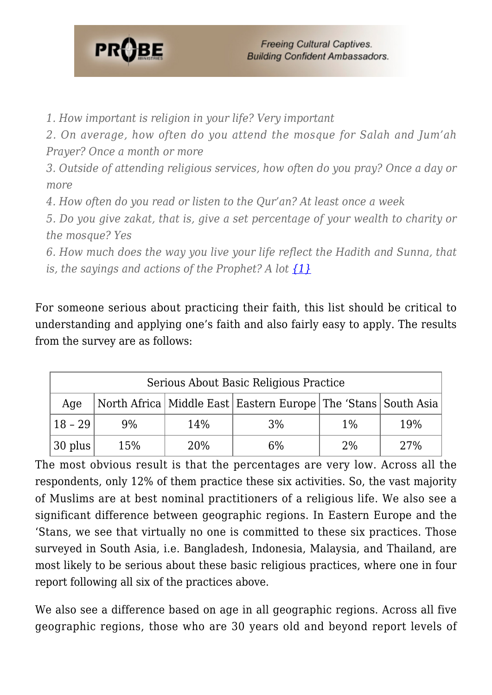

*1. How important is religion in your life? Very important*

*2. On average, how often do you attend the mosque for Salah and Jum'ah Prayer? Once a month or more*

*3. Outside of attending religious services, how often do you pray? Once a day or more*

*4. How often do you read or listen to the Qur'an? At least once a week*

*5. Do you give zakat, that is, give a set percentage of your wealth to charity or the mosque? Yes*

*6. How much does the way you live your life reflect the Hadith and Sunna, that is, the sayings and actions of the Prophet? A lot [{1}](#page-40-0)*

For someone serious about practicing their faith, this list should be critical to understanding and applying one's faith and also fairly easy to apply. The results from the survey are as follows:

| Serious About Basic Religious Practice |       |     |                                                                       |       |     |
|----------------------------------------|-------|-----|-----------------------------------------------------------------------|-------|-----|
| Age                                    |       |     | North Africa   Middle East   Eastern Europe   The 'Stans   South Asia |       |     |
| $18 - 29$                              | $9\%$ | 14% | 3%                                                                    | $1\%$ | 19% |
| $30$ plus                              | 15%   | 20% | 6%                                                                    | 2%    | 27% |

The most obvious result is that the percentages are very low. Across all the respondents, only 12% of them practice these six activities. So, the vast majority of Muslims are at best nominal practitioners of a religious life. We also see a significant difference between geographic regions. In Eastern Europe and the 'Stans, we see that virtually no one is committed to these six practices. Those surveyed in South Asia, i.e. Bangladesh, Indonesia, Malaysia, and Thailand, are most likely to be serious about these basic religious practices, where one in four report following all six of the practices above.

We also see a difference based on age in all geographic regions. Across all five geographic regions, those who are 30 years old and beyond report levels of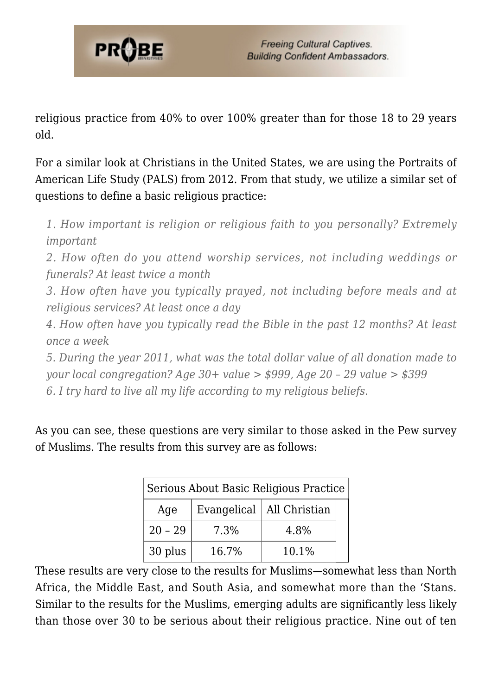

religious practice from 40% to over 100% greater than for those 18 to 29 years old.

For a similar look at Christians in the United States, we are using the Portraits of American Life Study (PALS) from 2012. From that study, we utilize a similar set of questions to define a basic religious practice:

*1. How important is religion or religious faith to you personally? Extremely important*

*2. How often do you attend worship services, not including weddings or funerals? At least twice a month*

*3. How often have you typically prayed, not including before meals and at religious services? At least once a day*

*4. How often have you typically read the Bible in the past 12 months? At least once a week*

*5. During the year 2011, what was the total dollar value of all donation made to your local congregation? Age 30+ value > \$999, Age 20 – 29 value > \$399 6. I try hard to live all my life according to my religious beliefs.*

As you can see, these questions are very similar to those asked in the Pew survey of Muslims. The results from this survey are as follows:

| Serious About Basic Religious Practice |       |                             |  |  |  |
|----------------------------------------|-------|-----------------------------|--|--|--|
| Age                                    |       | Evangelical   All Christian |  |  |  |
| $20 - 29$                              | 7.3%  | 4.8%                        |  |  |  |
| 30 plus                                | 16.7% | 10.1%                       |  |  |  |

These results are very close to the results for Muslims—somewhat less than North Africa, the Middle East, and South Asia, and somewhat more than the 'Stans. Similar to the results for the Muslims, emerging adults are significantly less likely than those over 30 to be serious about their religious practice. Nine out of ten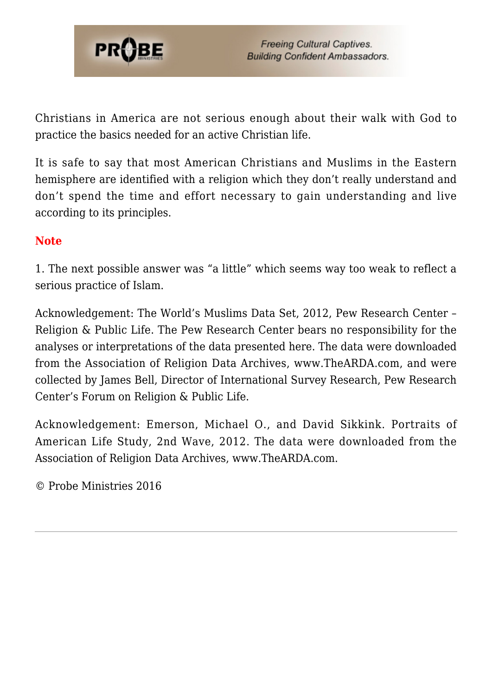

Christians in America are not serious enough about their walk with God to practice the basics needed for an active Christian life.

It is safe to say that most American Christians and Muslims in the Eastern hemisphere are identified with a religion which they don't really understand and don't spend the time and effort necessary to gain understanding and live according to its principles.

#### **Note**

1. The next possible answer was "a little" which seems way too weak to reflect a serious practice of Islam.

Acknowledgement: The World's Muslims Data Set, 2012, Pew Research Center – Religion & Public Life. The Pew Research Center bears no responsibility for the analyses or interpretations of the data presented here. The data were downloaded from the Association of Religion Data Archives, www.TheARDA.com, and were collected by James Bell, Director of International Survey Research, Pew Research Center's Forum on Religion & Public Life.

Acknowledgement: Emerson, Michael O., and David Sikkink. Portraits of American Life Study, 2nd Wave, 2012. The data were downloaded from the Association of Religion Data Archives, www.TheARDA.com.

© Probe Ministries 2016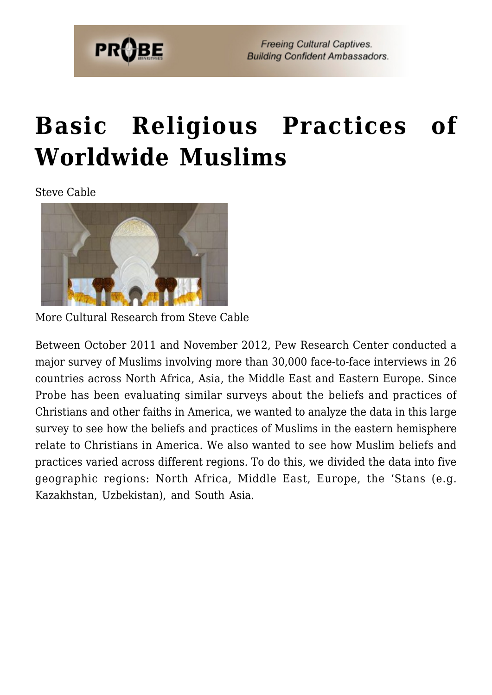

## **[Basic Religious Practices of](https://probe.org/basic-religious-practices-of-worldwide-muslims/) [Worldwide Muslims](https://probe.org/basic-religious-practices-of-worldwide-muslims/)**

Steve Cable



More Cultural Research from Steve Cable

Between October 2011 and November 2012, Pew Research Center conducted a major survey of Muslims involving more than 30,000 face-to-face interviews in 26 countries across North Africa, Asia, the Middle East and Eastern Europe. Since Probe has been evaluating similar surveys about the beliefs and practices of Christians and other faiths in America, we wanted to analyze the data in this large survey to see how the beliefs and practices of Muslims in the eastern hemisphere relate to Christians in America. We also wanted to see how Muslim beliefs and practices varied across different regions. To do this, we divided the data into five geographic regions: North Africa, Middle East, Europe, the 'Stans (e.g. Kazakhstan, Uzbekistan), and South Asia.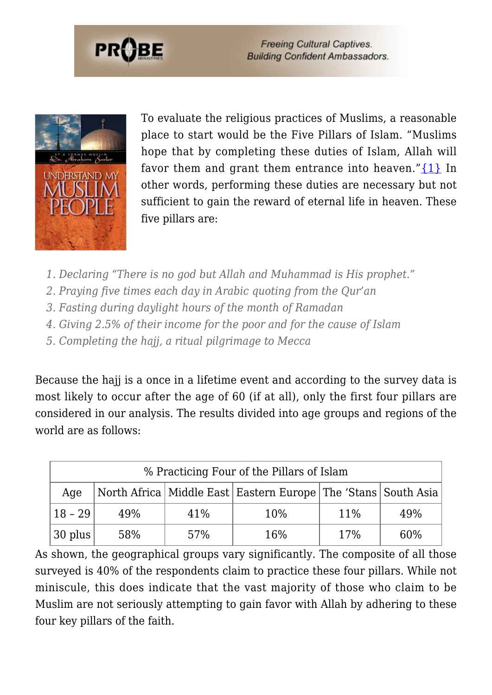



To evaluate the religious practices of Muslims, a reasonable place to start would be the Five Pillars of Islam. "Muslims hope that by completing these duties of Islam, Allah will favor them and grant them entrance into heaven." $\{1\}$  In other words, performing these duties are necessary but not sufficient to gain the reward of eternal life in heaven. These five pillars are:

- *1. Declaring "There is no god but Allah and Muhammad is His prophet."*
- *2. Praying five times each day in Arabic quoting from the Qur'an*
- *3. Fasting during daylight hours of the month of Ramadan*
- *4. Giving 2.5% of their income for the poor and for the cause of Islam*
- *5. Completing the hajj, a ritual pilgrimage to Mecca*

Because the hajj is a once in a lifetime event and according to the survey data is most likely to occur after the age of 60 (if at all), only the first four pillars are considered in our analysis. The results divided into age groups and regions of the world are as follows:

| % Practicing Four of the Pillars of Islam |     |     |                                                                       |        |     |
|-------------------------------------------|-----|-----|-----------------------------------------------------------------------|--------|-----|
| Age                                       |     |     | North Africa   Middle East   Eastern Europe   The 'Stans   South Asia |        |     |
| $18 - 29$                                 | 49% | 41% | 10%                                                                   | $11\%$ | 49% |
| $ 30 \text{ plus} $                       | 58% | 57% | 16%                                                                   | 17%    | 60% |

As shown, the geographical groups vary significantly. The composite of all those surveyed is 40% of the respondents claim to practice these four pillars. While not miniscule, this does indicate that the vast majority of those who claim to be Muslim are not seriously attempting to gain favor with Allah by adhering to these four key pillars of the faith.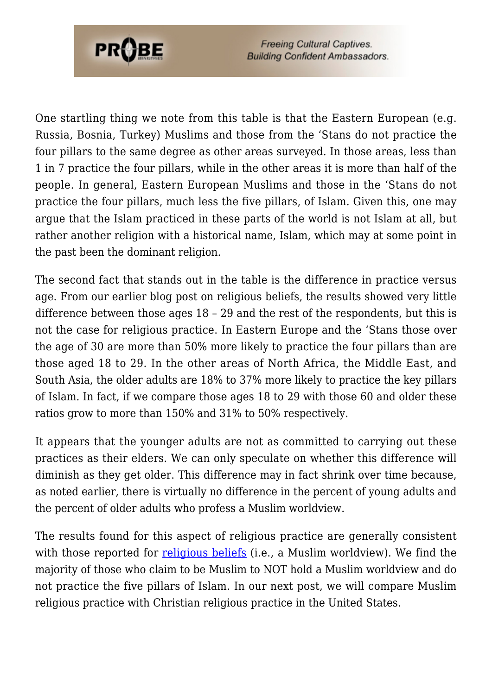

One startling thing we note from this table is that the Eastern European (e.g. Russia, Bosnia, Turkey) Muslims and those from the 'Stans do not practice the four pillars to the same degree as other areas surveyed. In those areas, less than 1 in 7 practice the four pillars, while in the other areas it is more than half of the people. In general, Eastern European Muslims and those in the 'Stans do not practice the four pillars, much less the five pillars, of Islam. Given this, one may argue that the Islam practiced in these parts of the world is not Islam at all, but rather another religion with a historical name, Islam, which may at some point in the past been the dominant religion.

The second fact that stands out in the table is the difference in practice versus age. From our earlier blog post on religious beliefs, the results showed very little difference between those ages 18 – 29 and the rest of the respondents, but this is not the case for religious practice. In Eastern Europe and the 'Stans those over the age of 30 are more than 50% more likely to practice the four pillars than are those aged 18 to 29. In the other areas of North Africa, the Middle East, and South Asia, the older adults are 18% to 37% more likely to practice the key pillars of Islam. In fact, if we compare those ages 18 to 29 with those 60 and older these ratios grow to more than 150% and 31% to 50% respectively.

It appears that the younger adults are not as committed to carrying out these practices as their elders. We can only speculate on whether this difference will diminish as they get older. This difference may in fact shrink over time because, as noted earlier, there is virtually no difference in the percent of young adults and the percent of older adults who profess a Muslim worldview.

The results found for this aspect of religious practice are generally consistent with those reported for <u>religious beliefs</u> (i.e., a Muslim worldview). We find the majority of those who claim to be Muslim to NOT hold a Muslim worldview and do not practice the five pillars of Islam. In our next post, we will compare Muslim religious practice with Christian religious practice in the United States.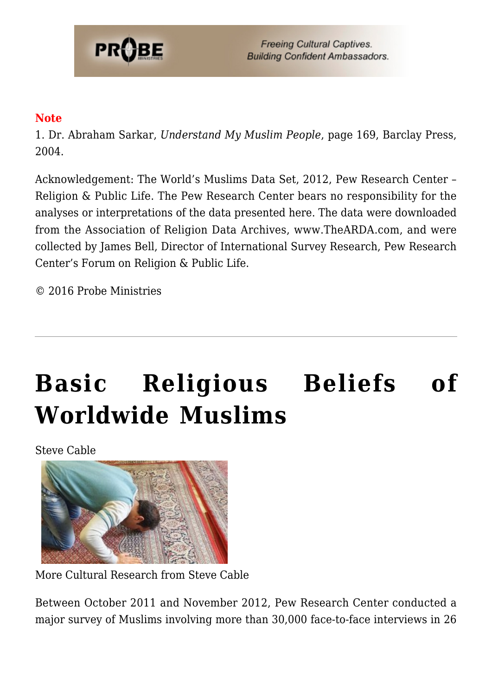

#### **Note**

1. Dr. Abraham Sarkar, *Understand My Muslim People*, page 169, Barclay Press, 2004.

Acknowledgement: The World's Muslims Data Set, 2012, Pew Research Center – Religion & Public Life. The Pew Research Center bears no responsibility for the analyses or interpretations of the data presented here. The data were downloaded from the Association of Religion Data Archives, www.TheARDA.com, and were collected by James Bell, Director of International Survey Research, Pew Research Center's Forum on Religion & Public Life.

© 2016 Probe Ministries

# **[Basic Religious Beliefs of](https://probe.org/basic-religious-beliefs-of-worldwide-muslims/) [Worldwide Muslims](https://probe.org/basic-religious-beliefs-of-worldwide-muslims/)**

Steve Cable



More Cultural Research from Steve Cable

Between October 2011 and November 2012, Pew Research Center conducted a major survey of Muslims involving more than 30,000 face-to-face interviews in 26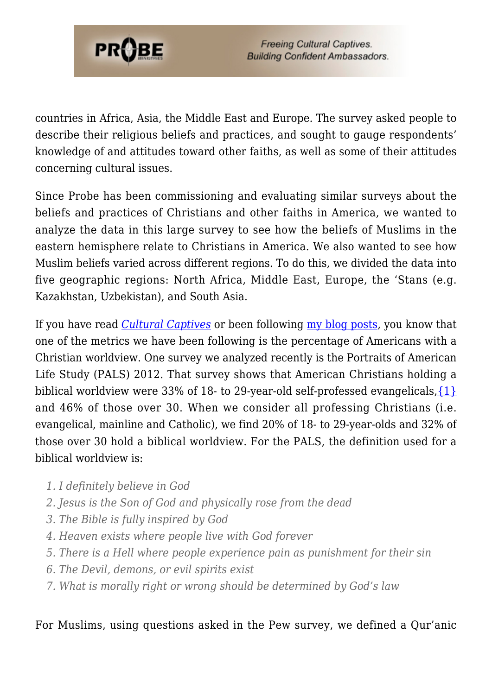

countries in Africa, Asia, the Middle East and Europe. The survey asked people to describe their religious beliefs and practices, and sought to gauge respondents' knowledge of and attitudes toward other faiths, as well as some of their attitudes concerning cultural issues.

Since Probe has been commissioning and evaluating similar surveys about the beliefs and practices of Christians and other faiths in America, we wanted to analyze the data in this large survey to see how the beliefs of Muslims in the eastern hemisphere relate to Christians in America. We also wanted to see how Muslim beliefs varied across different regions. To do this, we divided the data into five geographic regions: North Africa, Middle East, Europe, the 'Stans (e.g. Kazakhstan, Uzbekistan), and South Asia.

If you have read *[Cultural Captives](https://www.probe.org/store/cultural-captives-by-steven-cable/)* or been following [my blog posts](https://www.probe.org/cultural-research/), you know that one of the metrics we have been following is the percentage of Americans with a Christian worldview. One survey we analyzed recently is the Portraits of American Life Study (PALS) 2012. That survey shows that American Christians holding a biblical worldview were 33% of 18- to 29-year-old self-professed evangelicals,  $\{1\}$ and 46% of those over 30. When we consider all professing Christians (i.e. evangelical, mainline and Catholic), we find 20% of 18- to 29-year-olds and 32% of those over 30 hold a biblical worldview. For the PALS, the definition used for a biblical worldview is:

- *1. I definitely believe in God*
- *2. Jesus is the Son of God and physically rose from the dead*
- *3. The Bible is fully inspired by God*
- *4. Heaven exists where people live with God forever*
- *5. There is a Hell where people experience pain as punishment for their sin*
- *6. The Devil, demons, or evil spirits exist*
- *7. What is morally right or wrong should be determined by God's law*

#### For Muslims, using questions asked in the Pew survey, we defined a Qur'anic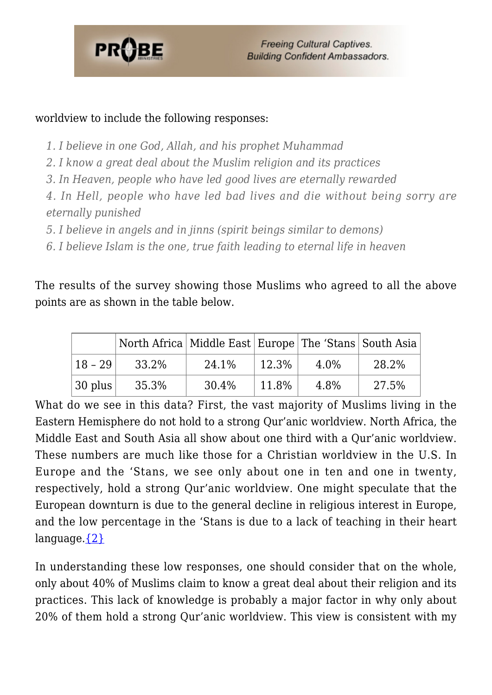

#### worldview to include the following responses:

- *1. I believe in one God, Allah, and his prophet Muhammad*
- *2. I know a great deal about the Muslim religion and its practices*
- *3. In Heaven, people who have led good lives are eternally rewarded*

*4. In Hell, people who have led bad lives and die without being sorry are eternally punished*

*5. I believe in angels and in jinns (spirit beings similar to demons)*

*6. I believe Islam is the one, true faith leading to eternal life in heaven*

The results of the survey showing those Muslims who agreed to all the above points are as shown in the table below.

|                         | North Africa   Middle East   Europe   The 'Stans   South Asia |       |       |      |       |
|-------------------------|---------------------------------------------------------------|-------|-------|------|-------|
| 18 - 29                 | 33.2%                                                         | 24.1% | 12.3% | 4.0% | 28.2% |
| $\vert$ 30 plus $\vert$ | 35.3%                                                         | 30.4% | 11.8% | 4.8% | 27.5% |

What do we see in this data? First, the vast majority of Muslims living in the Eastern Hemisphere do not hold to a strong Qur'anic worldview. North Africa, the Middle East and South Asia all show about one third with a Qur'anic worldview. These numbers are much like those for a Christian worldview in the U.S. In Europe and the 'Stans, we see only about one in ten and one in twenty, respectively, hold a strong Qur'anic worldview. One might speculate that the European downturn is due to the general decline in religious interest in Europe, and the low percentage in the 'Stans is due to a lack of teaching in their heart language. $\{2\}$ 

In understanding these low responses, one should consider that on the whole, only about 40% of Muslims claim to know a great deal about their religion and its practices. This lack of knowledge is probably a major factor in why only about 20% of them hold a strong Qur'anic worldview. This view is consistent with my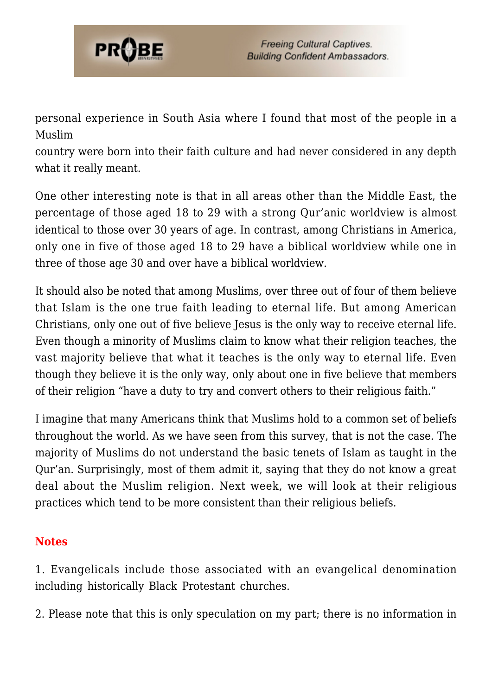

personal experience in South Asia where I found that most of the people in a Muslim

country were born into their faith culture and had never considered in any depth what it really meant.

One other interesting note is that in all areas other than the Middle East, the percentage of those aged 18 to 29 with a strong Qur'anic worldview is almost identical to those over 30 years of age. In contrast, among Christians in America, only one in five of those aged 18 to 29 have a biblical worldview while one in three of those age 30 and over have a biblical worldview.

It should also be noted that among Muslims, over three out of four of them believe that Islam is the one true faith leading to eternal life. But among American Christians, only one out of five believe Jesus is the only way to receive eternal life. Even though a minority of Muslims claim to know what their religion teaches, the vast majority believe that what it teaches is the only way to eternal life. Even though they believe it is the only way, only about one in five believe that members of their religion "have a duty to try and convert others to their religious faith."

I imagine that many Americans think that Muslims hold to a common set of beliefs throughout the world. As we have seen from this survey, that is not the case. The majority of Muslims do not understand the basic tenets of Islam as taught in the Qur'an. Surprisingly, most of them admit it, saying that they do not know a great deal about the Muslim religion. Next week, we will look at their religious practices which tend to be more consistent than their religious beliefs.

#### **Notes**

<span id="page-40-0"></span>1. Evangelicals include those associated with an evangelical denomination including historically Black Protestant churches.

<span id="page-40-1"></span>2. Please note that this is only speculation on my part; there is no information in